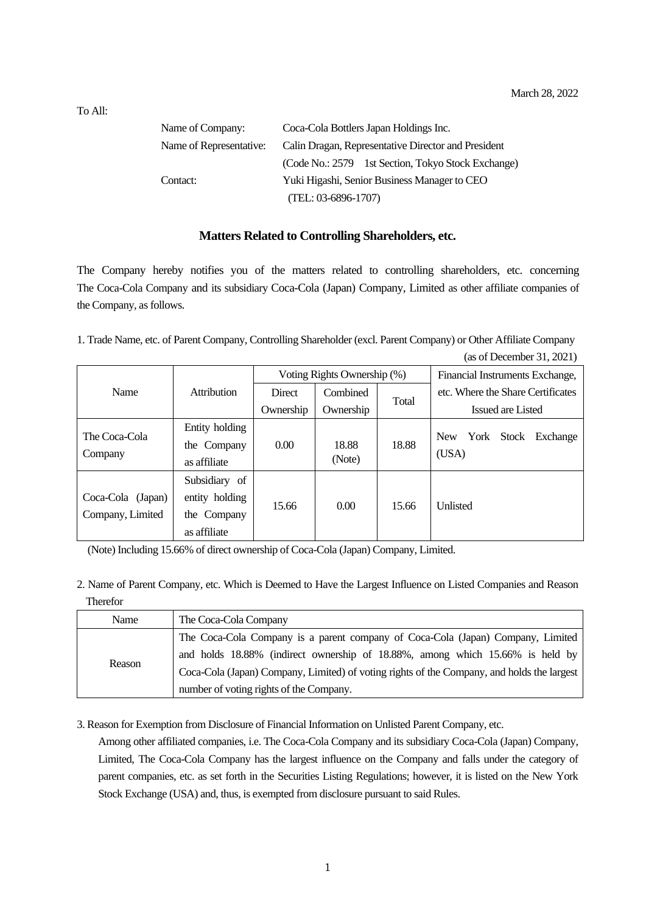(as of December 31, 2021)

| Name of Company:        | Coca-Cola Bottlers Japan Holdings Inc.              |  |  |
|-------------------------|-----------------------------------------------------|--|--|
| Name of Representative: | Calin Dragan, Representative Director and President |  |  |
|                         | (Code No.: 2579 1st Section, Tokyo Stock Exchange)  |  |  |
| Contact:                | Yuki Higashi, Senior Business Manager to CEO        |  |  |
|                         | $(TEL: 03-6896-1707)$                               |  |  |

## **Matters Related to Controlling Shareholders, etc.**

The Company hereby notifies you of the matters related to controlling shareholders, etc. concerning The Coca-Cola Company and its subsidiary Coca-Cola (Japan) Company, Limited as other affiliate companies of the Company, as follows.

1. Trade Name, etc. of Parent Company, Controlling Shareholder (excl. Parent Company) or Other Affiliate Company

|                          |                | Voting Rights Ownership (%) |           |       | Financial Instruments Exchange,         |  |
|--------------------------|----------------|-----------------------------|-----------|-------|-----------------------------------------|--|
| Name                     | Attribution    | <b>Direct</b>               | Combined  | Total | etc. Where the Share Certificates       |  |
|                          |                | Ownership                   | Ownership |       | Issued are Listed                       |  |
| The Coca-Cola<br>Company | Entity holding |                             |           |       |                                         |  |
|                          | the Company    | 0.00                        | 18.88     | 18.88 | York<br>Stock<br><b>New</b><br>Exchange |  |
|                          | as affiliate   |                             | (Note)    |       | (USA)                                   |  |
|                          | Subsidiary of  |                             |           |       |                                         |  |
| Coca-Cola (Japan)        | entity holding | 15.66                       | 0.00      | 15.66 | <b>Unlisted</b>                         |  |
| Company, Limited         | the Company    |                             |           |       |                                         |  |
|                          | as affiliate   |                             |           |       |                                         |  |

(Note) Including 15.66% of direct ownership of Coca-Cola (Japan) Company, Limited.

2. Name of Parent Company, etc. Which is Deemed to Have the Largest Influence on Listed Companies and Reason Therefor

| Name   | The Coca-Cola Company                                                                      |
|--------|--------------------------------------------------------------------------------------------|
| Reason | The Coca-Cola Company is a parent company of Coca-Cola (Japan) Company, Limited            |
|        | and holds 18.88% (indirect ownership of 18.88%, among which 15.66% is held by              |
|        | Coca-Cola (Japan) Company, Limited) of voting rights of the Company, and holds the largest |
|        | number of voting rights of the Company.                                                    |

3. Reason for Exemption from Disclosure of Financial Information on Unlisted Parent Company, etc.

Among other affiliated companies, i.e. The Coca-Cola Company and its subsidiary Coca-Cola (Japan) Company, Limited, The Coca-Cola Company has the largest influence on the Company and falls under the category of parent companies, etc. as set forth in the Securities Listing Regulations; however, it is listed on the New York Stock Exchange (USA) and, thus, is exempted from disclosure pursuant to said Rules.

To All: